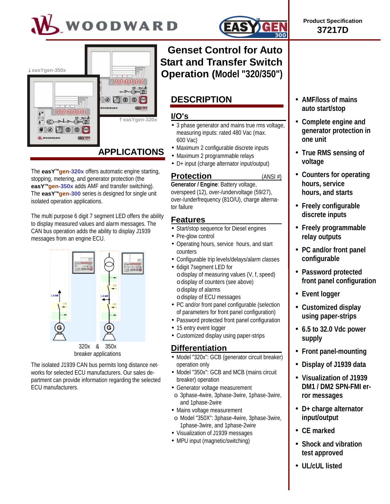



The **easY<sup>™</sup>gen-320x** offers automatic engine starting, stopping, metering, and generator protection (the **easY<sup>™</sup>gen-350x** adds AMF and transfer switching). The **easY<sup>™</sup>gen-300** series is designed for single unit isolated operation applications.

The multi purpose 6 digit 7 segment LED offers the ability to display measured values and alarm messages. The CAN bus operation adds the ability to display J1939 messages from an engine ECU.



The isolated J1939 CAN bus permits long distance networks for selected ECU manufacturers. Our sales department can provide information regarding the selected ECU manufacturers.



**Product Specification 37217D**

# **Genset Control for Auto Start and Transfer Switch Operation (Model "320/350")**

# **DESCRIPTION**

## **I/O's**

- 3 phase generator and mains true rms voltage, measuring inputs: rated 480 Vac (max. 600 Vac)
- Maximum 2 configurable discrete inputs
- Maximum 2 programmable relays
- D+ input (charge alternator input/output)

## **Protection** (ANSI #)

**Generator / Engine**: Battery voltage, overspeed (12), over-/undervoltage (59/27), over-/underfrequency (81O/U), charge alternator failure

### **Features**

- Start/stop sequence for Diesel engines
- Pre-glow control
- Operating hours, service hours, and start counters
- Configurable trip levels/delays/alarm classes
- 6digit 7segment LED for
	- odisplay of measuring values (V, f, speed) odisplay of counters (see above) odisplay of alarms
	- odisplay of ECU messages
- PC and/or front panel configurable (selection of parameters for front panel configuration)
- Password protected front panel configuration
- 15 entry event logger
- Customized display using paper-strips

## **Differentiation**

- Model "320x": GCB (generator circuit breaker) operation only
- Model "350x": GCB and MCB (mains circuit breaker) operation
- Generator voltage measurement
- o 3phase-4wire, 3phase-3wire, 1phase-3wire, and 1phase-2wire
- Mains voltage measurement
- o Model "350X": 3phase-4wire, 3phase-3wire, 1phase-3wire, and 1phase-2wire
- Visualization of J1939 messages
- MPU input (magnetic/switching)
- **AMF/loss of mains auto start/stop**
- **Complete engine and generator protection in one unit**
- **True RMS sensing of voltage**
- **Counters for operating hours, service hours, and starts**
- **Freely configurable discrete inputs**
- **Freely programmable relay outputs**
- **PC and/or front panel configurable**
- **Password protected front panel configuration**
- **Event logger**
- **Customized display using paper-strips**
- **6.5 to 32.0 Vdc power supply**
- **Front panel-mounting**
- **Display of J1939 data**
- **Visualization of J1939 DM1 / DM2 SPN-FMI error messages**
- **D+ charge alternator input/output**
- **CE marked**
- **Shock and vibration test approved**
- **UL/cUL listed**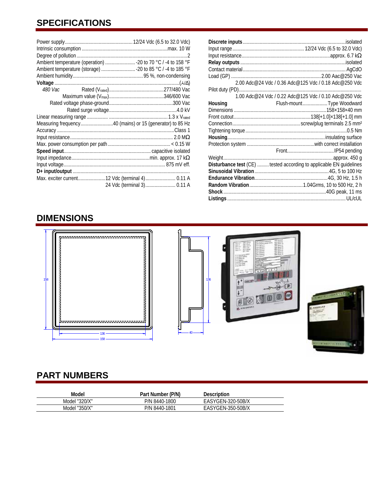# **SPECIFICATIONS**

|         |  | Ambient temperature (operation)  - 20 to 70 °C / -4 to 158 °F |  |  |
|---------|--|---------------------------------------------------------------|--|--|
|         |  | Ambient temperature (storage)  - 20 to 85 °C / -4 to 185 °F   |  |  |
|         |  |                                                               |  |  |
|         |  |                                                               |  |  |
| 480 Vac |  |                                                               |  |  |
|         |  |                                                               |  |  |
|         |  |                                                               |  |  |
|         |  |                                                               |  |  |
|         |  |                                                               |  |  |
|         |  | Measuring frequency40 (mains) or 15 (generator) to 85 Hz      |  |  |
|         |  |                                                               |  |  |
|         |  |                                                               |  |  |
|         |  |                                                               |  |  |
|         |  |                                                               |  |  |
|         |  |                                                               |  |  |
|         |  |                                                               |  |  |
|         |  |                                                               |  |  |
|         |  | Max. exciter current12 Vdc (terminal 4) 0.11 A                |  |  |
|         |  | 24 Vdc (terminal 3) 0.11 A                                    |  |  |
|         |  |                                                               |  |  |

| 2.00 Adc@24 Vdc / 0.36 Adc@125 Vdc / 0.18 Adc@250 Vdc<br>Housing<br>Flush-mountType Woodward<br>Disturbance test (CE)  tested according to applicable EN guidelines |  |
|---------------------------------------------------------------------------------------------------------------------------------------------------------------------|--|
|                                                                                                                                                                     |  |
|                                                                                                                                                                     |  |
|                                                                                                                                                                     |  |
|                                                                                                                                                                     |  |
|                                                                                                                                                                     |  |
|                                                                                                                                                                     |  |
|                                                                                                                                                                     |  |
|                                                                                                                                                                     |  |
|                                                                                                                                                                     |  |
|                                                                                                                                                                     |  |
|                                                                                                                                                                     |  |
|                                                                                                                                                                     |  |
|                                                                                                                                                                     |  |
|                                                                                                                                                                     |  |
|                                                                                                                                                                     |  |
|                                                                                                                                                                     |  |
|                                                                                                                                                                     |  |
|                                                                                                                                                                     |  |
|                                                                                                                                                                     |  |
|                                                                                                                                                                     |  |
|                                                                                                                                                                     |  |
|                                                                                                                                                                     |  |
|                                                                                                                                                                     |  |

# **DIMENSIONS**



# **PART NUMBERS**

| Model         | Part Number (P/N) | Description       |  |
|---------------|-------------------|-------------------|--|
| Model "320/X" | P/N 8440-1800     | EASYGEN-320-50B/X |  |
| Model "350/X" | P/N 8440-1801     | EASYGEN-350-50B/X |  |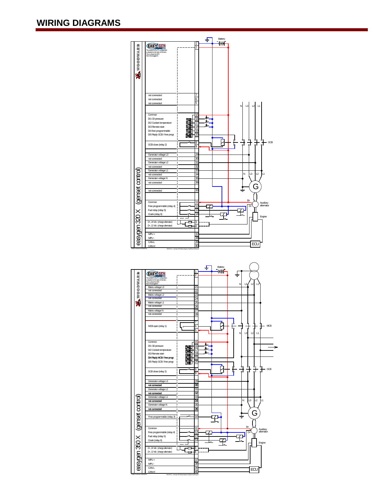